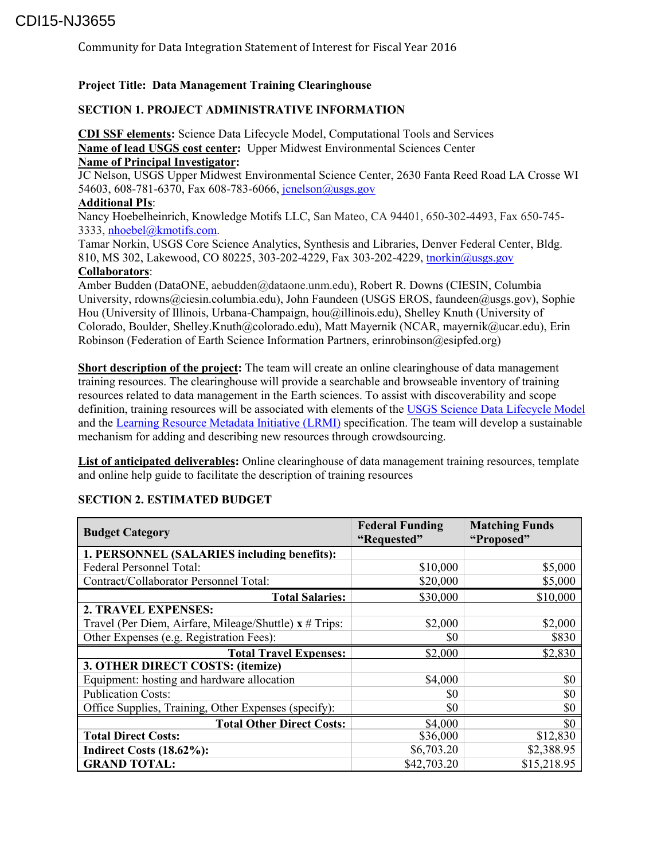# CDI15-NJ3655

Community for Data Integration Statement of Interest for Fiscal Year 2016

#### **Project Title: Data Management Training Clearinghouse**

### **SECTION 1. PROJECT ADMINISTRATIVE INFORMATION**

**CDI SSF elements:** Science Data Lifecycle Model, Computational Tools and Services **Name of lead USGS cost center:** Upper Midwest Environmental Sciences Center **Name of Principal Investigator:** 

JC Nelson, USGS Upper Midwest Environmental Science Center, 2630 Fanta Reed Road LA Crosse WI 54603, 608-781-6370, Fax 608-783-6066, [jcnelson@usgs.gov](mailto:jcnelson@usgs.gov)

#### **Additional PIs**:

Nancy Hoebelheinrich, Knowledge Motifs LLC, San Mateo, CA 94401, 650-302-4493, Fax 650-745- 3333, [nhoebel@kmotifs.com.](mailto:nhoebel@kmotifs.com)

Tamar Norkin, USGS Core Science Analytics, Synthesis and Libraries, Denver Federal Center, Bldg. 810, MS 302, Lakewood, CO 80225, 303-202-4229, Fax 303-202-4229, [tnorkin@usgs.gov](mailto:tnorkin@usgs.gov) **Collaborators**:

Amber Budden (DataONE, aebudden@dataone.unm.edu), Robert R. Downs (CIESIN, Columbia University, rdowns@ciesin.columbia.edu), John Faundeen (USGS EROS, faundeen@usgs.gov), Sophie Hou (University of Illinois, Urbana-Champaign, hou@illinois.edu), Shelley Knuth (University of Colorado, Boulder, Shelley.Knuth@colorado.edu), Matt Mayernik (NCAR, mayernik@ucar.edu), Erin Robinson (Federation of Earth Science Information Partners, erinrobinson@esipfed.org)

**Short description of the project:** The team will create an online clearinghouse of data management training resources. The clearinghouse will provide a searchable and browseable inventory of training resources related to data management in the Earth sciences. To assist with discoverability and scope definition, training resources will be associated with elements of th[e USGS Science Data Lifecycle Model](http://www.usgs.gov/datamanagement/why-dm/lifecycleoverview.php) and the [Learning Resource Metadata Initiative \(LRMI\)](http://www.lrmi.net/about) specification. The team will develop a sustainable mechanism for adding and describing new resources through crowdsourcing.

**List of anticipated deliverables:** Online clearinghouse of data management training resources, template and online help guide to facilitate the description of training resources

| <b>Budget Category</b>                                 | <b>Federal Funding</b><br>"Requested" | <b>Matching Funds</b><br>"Proposed" |  |
|--------------------------------------------------------|---------------------------------------|-------------------------------------|--|
| 1. PERSONNEL (SALARIES including benefits):            |                                       |                                     |  |
| Federal Personnel Total:                               | \$10,000                              | \$5,000                             |  |
| Contract/Collaborator Personnel Total:                 | \$20,000                              | \$5,000                             |  |
| <b>Total Salaries:</b>                                 | \$30,000                              | \$10,000                            |  |
| 2. TRAVEL EXPENSES:                                    |                                       |                                     |  |
| Travel (Per Diem, Airfare, Mileage/Shuttle) x # Trips: | \$2,000                               | \$2,000                             |  |
| Other Expenses (e.g. Registration Fees):               | \$0                                   | \$830                               |  |
| <b>Total Travel Expenses:</b>                          | \$2,000                               | \$2,830                             |  |
| 3. OTHER DIRECT COSTS: (itemize)                       |                                       |                                     |  |
| Equipment: hosting and hardware allocation             | \$4,000                               | \$0                                 |  |
| <b>Publication Costs:</b>                              | SO.                                   | \$0                                 |  |
| Office Supplies, Training, Other Expenses (specify):   | \$0                                   | \$0                                 |  |
| <b>Total Other Direct Costs:</b>                       | \$4,000                               | \$0                                 |  |
| <b>Total Direct Costs:</b>                             | \$36,000                              | \$12,830                            |  |
| Indirect Costs (18.62%):                               | \$6,703.20                            | \$2,388.95                          |  |
| <b>GRAND TOTAL:</b>                                    | \$42,703.20                           | \$15,218.95                         |  |

### **SECTION 2. ESTIMATED BUDGET**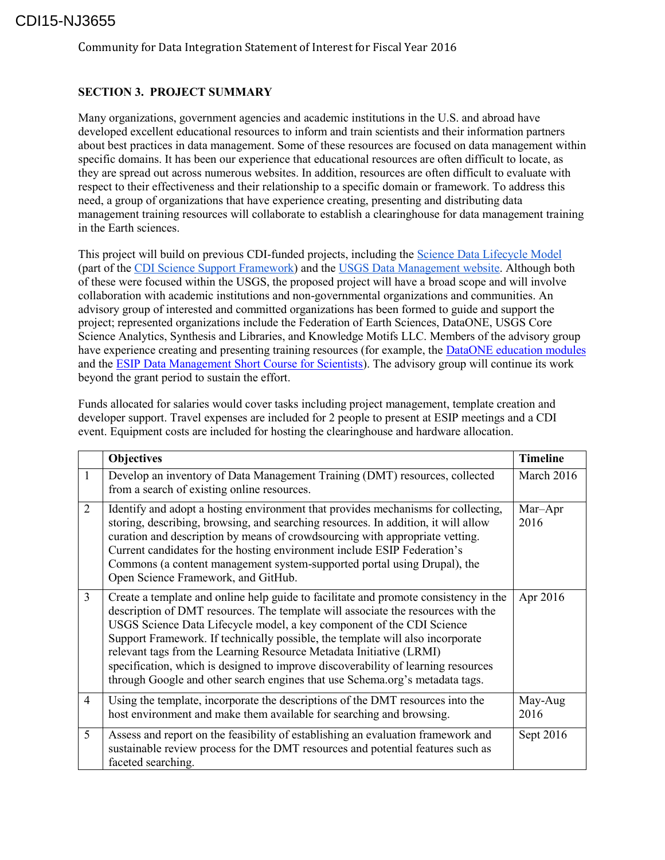# CDI15-NJ3655

Community for Data Integration Statement of Interest for Fiscal Year 2016

## **SECTION 3. PROJECT SUMMARY**

Many organizations, government agencies and academic institutions in the U.S. and abroad have developed excellent educational resources to inform and train scientists and their information partners about best practices in data management. Some of these resources are focused on data management within specific domains. It has been our experience that educational resources are often difficult to locate, as they are spread out across numerous websites. In addition, resources are often difficult to evaluate with respect to their effectiveness and their relationship to a specific domain or framework. To address this need, a group of organizations that have experience creating, presenting and distributing data management training resources will collaborate to establish a clearinghouse for data management training in the Earth sciences.

This project will build on previous CDI-funded projects, including the [Science Data Lifecycle Model](http://www.usgs.gov/datamanagement/why-dm/lifecycleoverview.php) (part of the [CDI Science Support Framework\)](http://www.usgs.gov/cdi/about.html) and the [USGS Data Management website.](http://www.usgs.gov/datamanagement/) Although both of these were focused within the USGS, the proposed project will have a broad scope and will involve collaboration with academic institutions and non-governmental organizations and communities. An advisory group of interested and committed organizations has been formed to guide and support the project; represented organizations include the Federation of Earth Sciences, DataONE, USGS Core Science Analytics, Synthesis and Libraries, and Knowledge Motifs LLC. Members of the advisory group have experience creating and presenting training resources (for example, the [DataONE education modules](https://www.dataone.org/education-modules) and the [ESIP Data Management Short Course for Scientists\)](http://commons.esipfed.org/datamanagementshortcourse). The advisory group will continue its work beyond the grant period to sustain the effort.

Funds allocated for salaries would cover tasks including project management, template creation and developer support. Travel expenses are included for 2 people to present at ESIP meetings and a CDI event. Equipment costs are included for hosting the clearinghouse and hardware allocation.

|                | <b>Objectives</b>                                                                                                                                                                                                                                                                                                                                                                                                                                                                                                                                                               | <b>Timeline</b> |
|----------------|---------------------------------------------------------------------------------------------------------------------------------------------------------------------------------------------------------------------------------------------------------------------------------------------------------------------------------------------------------------------------------------------------------------------------------------------------------------------------------------------------------------------------------------------------------------------------------|-----------------|
| $\mathbf{1}$   | Develop an inventory of Data Management Training (DMT) resources, collected<br>from a search of existing online resources.                                                                                                                                                                                                                                                                                                                                                                                                                                                      | March 2016      |
| 2              | Identify and adopt a hosting environment that provides mechanisms for collecting,<br>storing, describing, browsing, and searching resources. In addition, it will allow<br>curation and description by means of crowdsourcing with appropriate vetting.<br>Current candidates for the hosting environment include ESIP Federation's<br>Commons (a content management system-supported portal using Drupal), the<br>Open Science Framework, and GitHub.                                                                                                                          | Mar-Apr<br>2016 |
| 3              | Create a template and online help guide to facilitate and promote consistency in the<br>description of DMT resources. The template will associate the resources with the<br>USGS Science Data Lifecycle model, a key component of the CDI Science<br>Support Framework. If technically possible, the template will also incorporate<br>relevant tags from the Learning Resource Metadata Initiative (LRMI)<br>specification, which is designed to improve discoverability of learning resources<br>through Google and other search engines that use Schema.org's metadata tags. | Apr 2016        |
| $\overline{4}$ | Using the template, incorporate the descriptions of the DMT resources into the<br>host environment and make them available for searching and browsing.                                                                                                                                                                                                                                                                                                                                                                                                                          | May-Aug<br>2016 |
| 5              | Assess and report on the feasibility of establishing an evaluation framework and<br>sustainable review process for the DMT resources and potential features such as<br>faceted searching.                                                                                                                                                                                                                                                                                                                                                                                       | Sept 2016       |